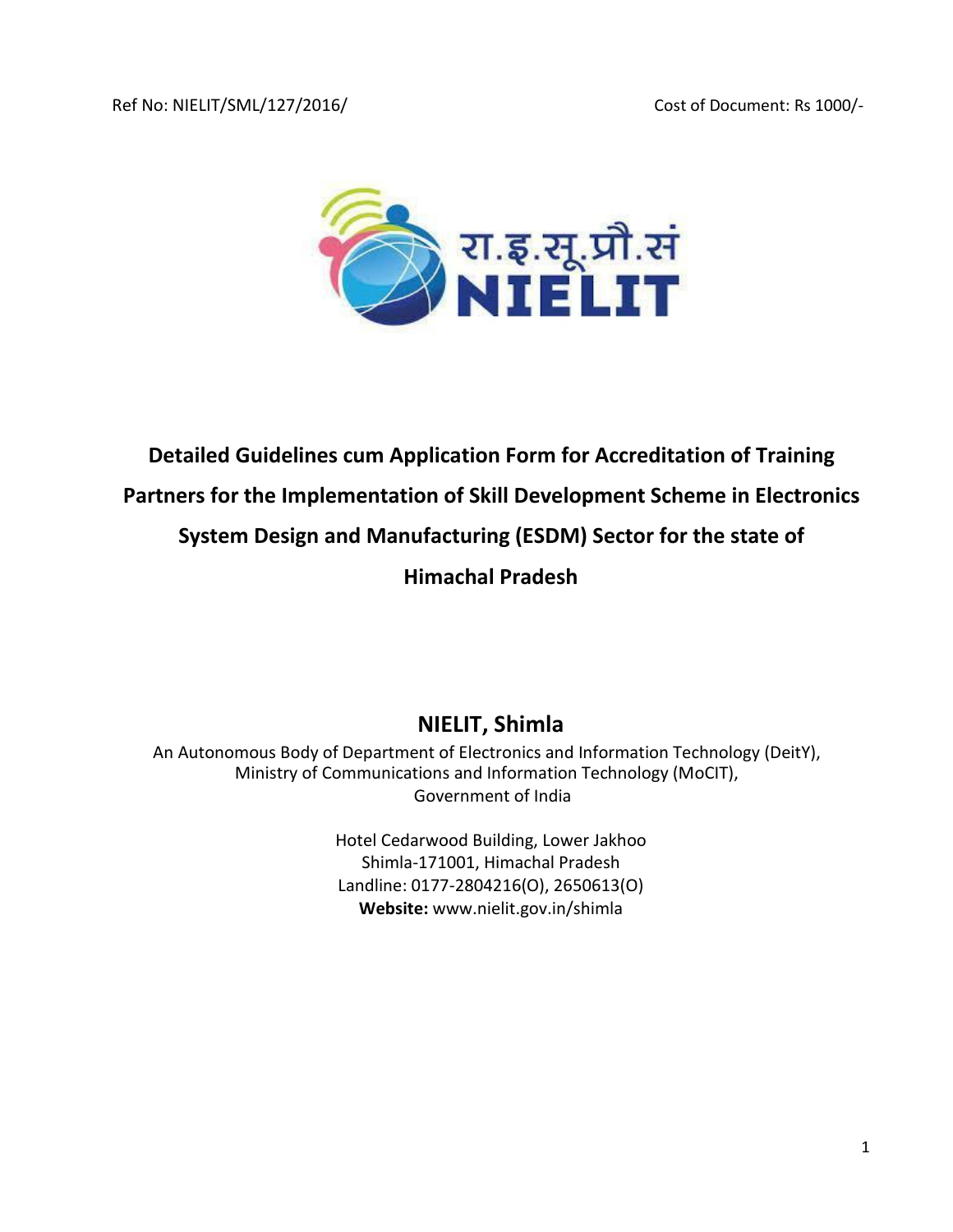

# **Detailed Guidelines cum Application Form for Accreditation of Training Partners for the Implementation of Skill Development Scheme in Electronics System Design and Manufacturing (ESDM) Sector for the state of Himachal Pradesh**

# **NIELIT, Shimla**

An Autonomous Body of Department of Electronics and Information Technology (DeitY), Ministry of Communications and Information Technology (MoCIT), Government of India

> Hotel Cedarwood Building, Lower Jakhoo Shimla-171001, Himachal Pradesh Landline: 0177-2804216(O), 2650613(O) **Website:** www.nielit.gov.in/shimla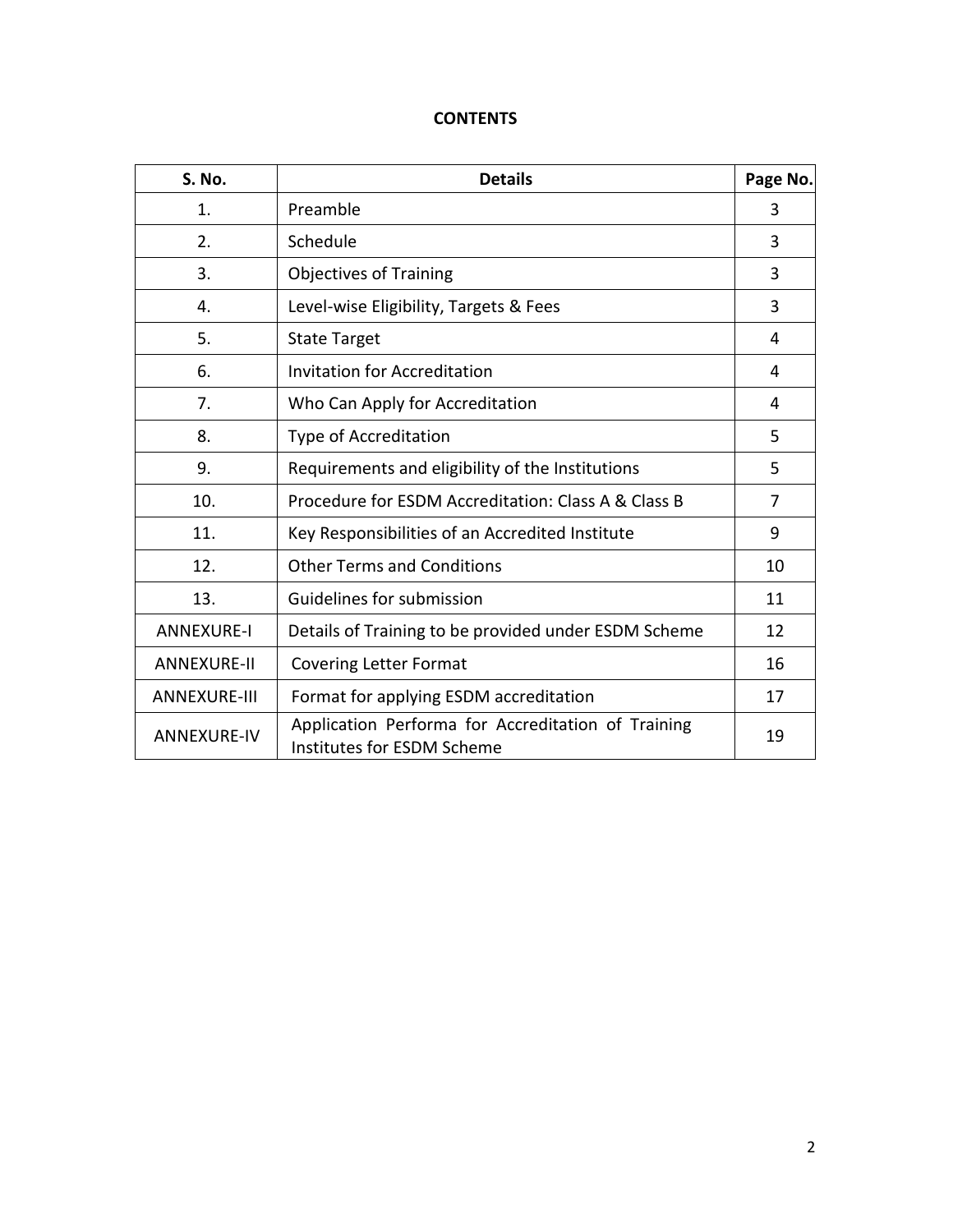# **CONTENTS**

| S. No.              | <b>Details</b>                                                                   | Page No. |
|---------------------|----------------------------------------------------------------------------------|----------|
| 1.                  | Preamble                                                                         | 3        |
| 2.                  | Schedule                                                                         | 3        |
| 3.                  | <b>Objectives of Training</b>                                                    | 3        |
| 4.                  | Level-wise Eligibility, Targets & Fees                                           | 3        |
| 5.                  | <b>State Target</b>                                                              | 4        |
| 6.                  | <b>Invitation for Accreditation</b>                                              | 4        |
| 7.                  | Who Can Apply for Accreditation                                                  | 4        |
| 8.                  | Type of Accreditation                                                            | 5        |
| 9.                  | Requirements and eligibility of the Institutions                                 | 5        |
| 10.                 | Procedure for ESDM Accreditation: Class A & Class B                              | 7        |
| 11.                 | Key Responsibilities of an Accredited Institute                                  | 9        |
| 12.                 | <b>Other Terms and Conditions</b>                                                | 10       |
| 13.                 | Guidelines for submission                                                        | 11       |
| <b>ANNEXURE-I</b>   | Details of Training to be provided under ESDM Scheme                             | 12       |
| <b>ANNEXURE-II</b>  | <b>Covering Letter Format</b>                                                    | 16       |
| <b>ANNEXURE-III</b> | Format for applying ESDM accreditation                                           | 17       |
| <b>ANNEXURE-IV</b>  | Application Performa for Accreditation of Training<br>Institutes for ESDM Scheme | 19       |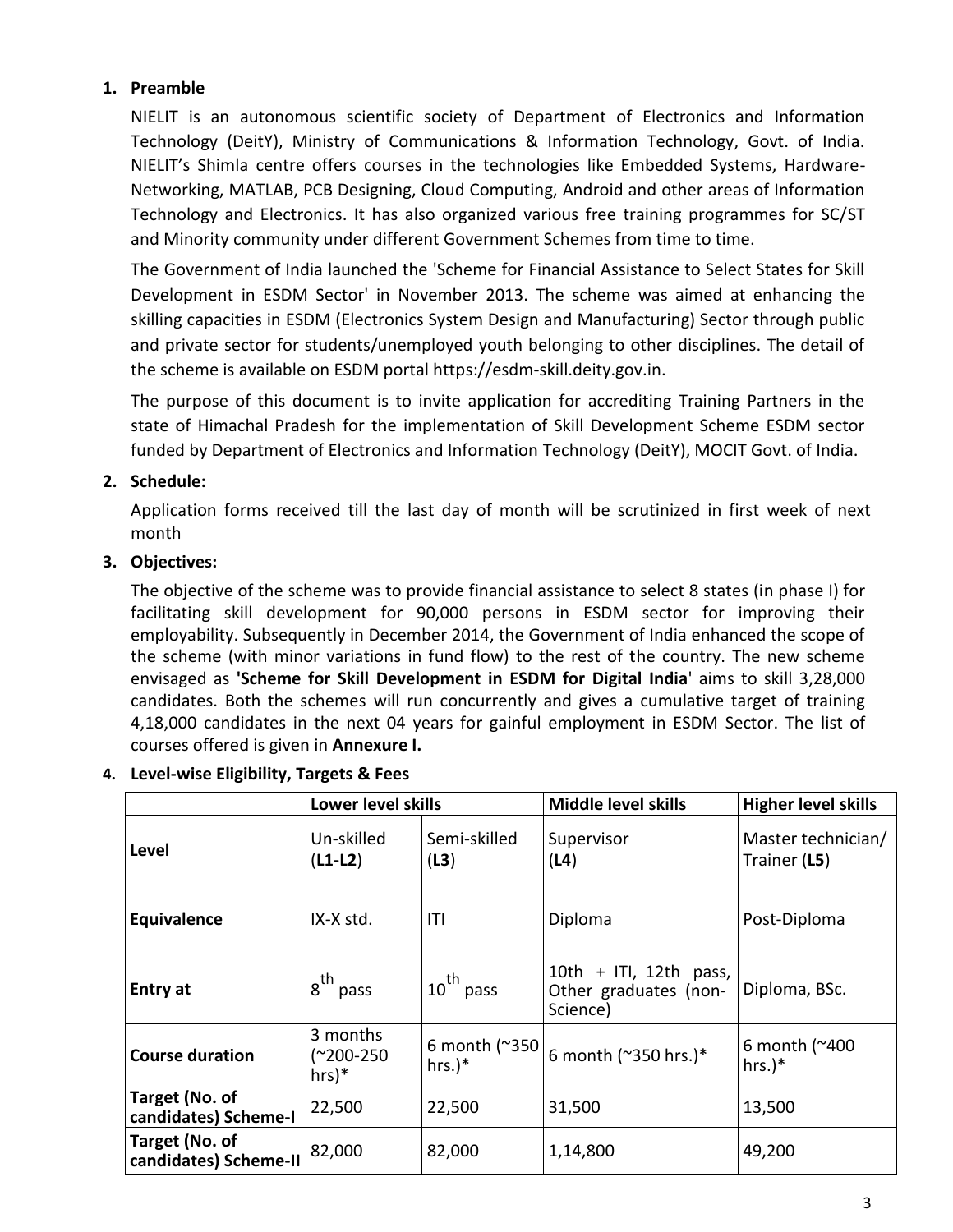## **1. Preamble**

NIELIT is an autonomous scientific society of Department of Electronics and Information Technology (DeitY), Ministry of Communications & Information Technology, Govt. of India. NIELIT's Shimla centre offers courses in the technologies like Embedded Systems, Hardware-Networking, MATLAB, PCB Designing, Cloud Computing, Android and other areas of Information Technology and Electronics. It has also organized various free training programmes for SC/ST and Minority community under different Government Schemes from time to time.

The Government of India launched the 'Scheme for Financial Assistance to Select States for Skill Development in ESDM Sector' in November 2013. The scheme was aimed at enhancing the skilling capacities in ESDM (Electronics System Design and Manufacturing) Sector through public and private sector for students/unemployed youth belonging to other disciplines. The detail of the scheme is available on ESDM portal https://esdm-skill.deity.gov.in.

The purpose of this document is to invite application for accrediting Training Partners in the state of Himachal Pradesh for the implementation of Skill Development Scheme ESDM sector funded by Department of Electronics and Information Technology (DeitY), MOCIT Govt. of India.

# **2. Schedule:**

Application forms received till the last day of month will be scrutinized in first week of next month

# **3. Objectives:**

The objective of the scheme was to provide financial assistance to select 8 states (in phase I) for facilitating skill development for 90,000 persons in ESDM sector for improving their employability. Subsequently in December 2014, the Government of India enhanced the scope of the scheme (with minor variations in fund flow) to the rest of the country. The new scheme envisaged as **'Scheme for Skill Development in ESDM for Digital India**' aims to skill 3,28,000 candidates. Both the schemes will run concurrently and gives a cumulative target of training 4,18,000 candidates in the next 04 years for gainful employment in ESDM Sector. The list of courses offered is given in **Annexure I.**

|                                         | Lower level skills               |                                       | <b>Middle level skills</b>                                  | <b>Higher level skills</b>         |
|-----------------------------------------|----------------------------------|---------------------------------------|-------------------------------------------------------------|------------------------------------|
| Level                                   | Un-skilled<br>$(L1-L2)$          | Semi-skilled<br>(L3)                  | Supervisor<br>(L4)                                          | Master technician/<br>Trainer (L5) |
| Equivalence                             | IX-X std.                        | ITI                                   | Diploma                                                     | Post-Diploma                       |
| Entry at                                | 8 <sup>th</sup> pass             | $10^{th}$ pass                        | 10th + ITI, 12th pass,<br>Other graduates (non-<br>Science) | Diploma, BSc.                      |
| <b>Course duration</b>                  | 3 months<br>(~200-250<br>$hrs)*$ | 6 month $($ $^{\sim}350$<br>$hrs.$ )* | 6 month (~350 hrs.)*                                        | 6 month ( $^{\sim}400$<br>$hrs.)*$ |
| Target (No. of<br>candidates) Scheme-I  | 22,500                           | 22,500                                | 31,500                                                      | 13,500                             |
| Target (No. of<br>candidates) Scheme-II | 82,000                           | 82,000                                | 1,14,800                                                    | 49,200                             |

## **4. Level-wise Eligibility, Targets & Fees**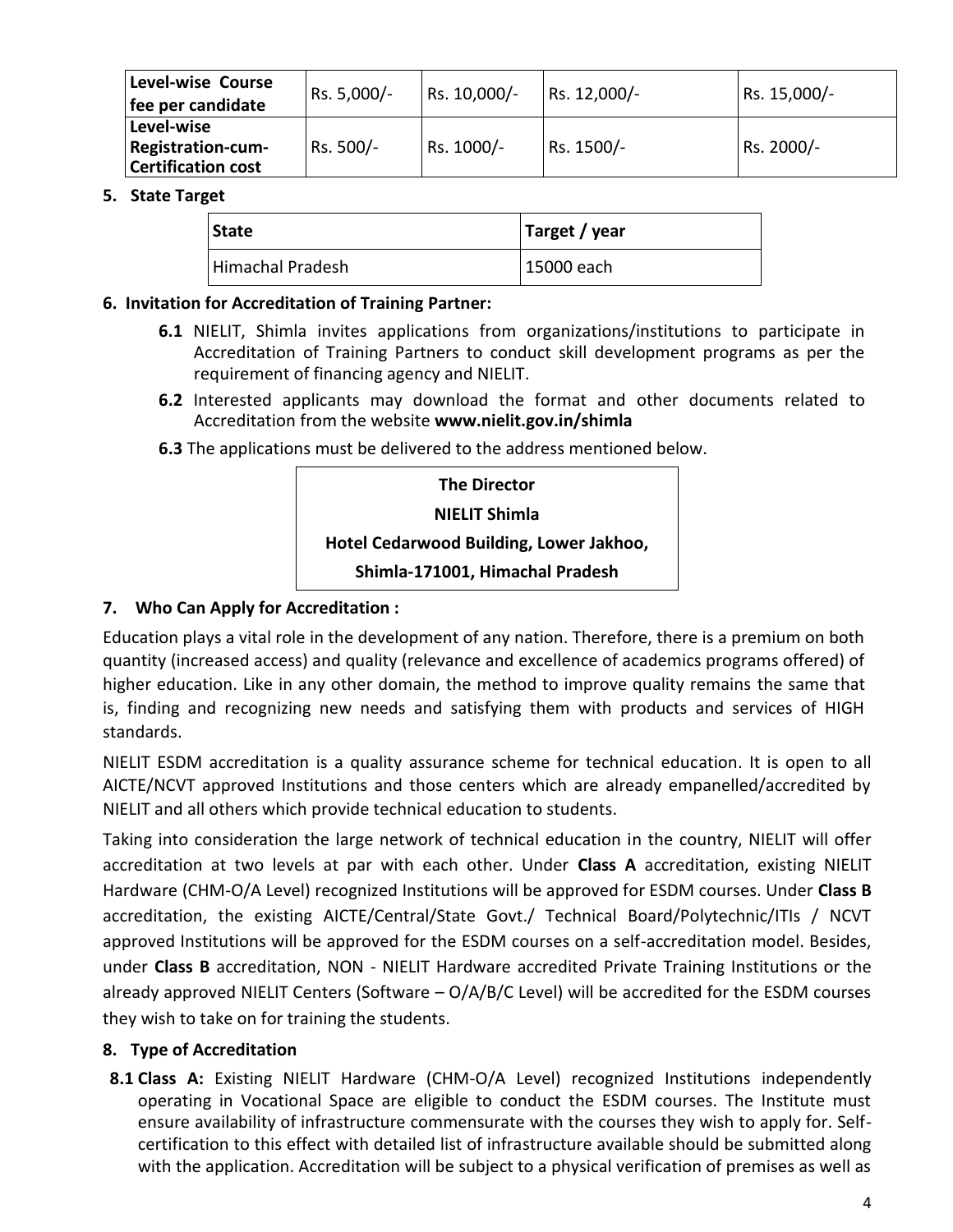| <b>Level-wise Course</b><br>fee per candidate                | Rs. 5,000/- | Rs. 10,000/- | Rs. 12,000/- | Rs. 15,000/- |
|--------------------------------------------------------------|-------------|--------------|--------------|--------------|
| Level-wise<br>Registration-cum-<br><b>Certification cost</b> | Rs. 500/-   | Rs. 1000/-   | Rs. 1500/-   | Rs. 2000/-   |

#### **5. State Target**

| <b>State</b>     | Target / year |  |
|------------------|---------------|--|
| Himachal Pradesh | 15000 each    |  |

## **6. Invitation for Accreditation of Training Partner:**

- **6.1** NIELIT, Shimla invites applications from organizations/institutions to participate in Accreditation of Training Partners to conduct skill development programs as per the requirement of financing agency and NIELIT.
- **6.2** Interested applicants may download the format and other documents related to Accreditation from the website **www.nielit.gov.in/shimla**
- **6.3** The applications must be delivered to the address mentioned below.

| <b>The Director</b>                     |
|-----------------------------------------|
| NIELIT Shimla                           |
| Hotel Cedarwood Building, Lower Jakhoo, |
| Shimla-171001, Himachal Pradesh         |

# **7. Who Can Apply for Accreditation :**

Education plays a vital role in the development of any nation. Therefore, there is a premium on both quantity (increased access) and quality (relevance and excellence of academics programs offered) of higher education. Like in any other domain, the method to improve quality remains the same that is, finding and recognizing new needs and satisfying them with products and services of HIGH standards.

NIELIT ESDM accreditation is a quality assurance scheme for technical education. It is open to all AICTE/NCVT approved Institutions and those centers which are already empanelled/accredited by NIELIT and all others which provide technical education to students.

Taking into consideration the large network of technical education in the country, NIELIT will offer accreditation at two levels at par with each other. Under **Class A** accreditation, existing NIELIT Hardware (CHM-O/A Level) recognized Institutions will be approved for ESDM courses. Under **Class B** accreditation, the existing AICTE/Central/State Govt./ Technical Board/Polytechnic/ITIs / NCVT approved Institutions will be approved for the ESDM courses on a self-accreditation model. Besides, under **Class B** accreditation, NON - NIELIT Hardware accredited Private Training Institutions or the already approved NIELIT Centers (Software – O/A/B/C Level) will be accredited for the ESDM courses they wish to take on for training the students.

## **8. Type of Accreditation**

8.1 Class A: Existing NIELIT Hardware (CHM-O/A Level) recognized Institutions independently operating in Vocational Space are eligible to conduct the ESDM courses. The Institute must ensure availability of infrastructure commensurate with the courses they wish to apply for. Selfcertification to this effect with detailed list of infrastructure available should be submitted along with the application. Accreditation will be subject to a physical verification of premises as well as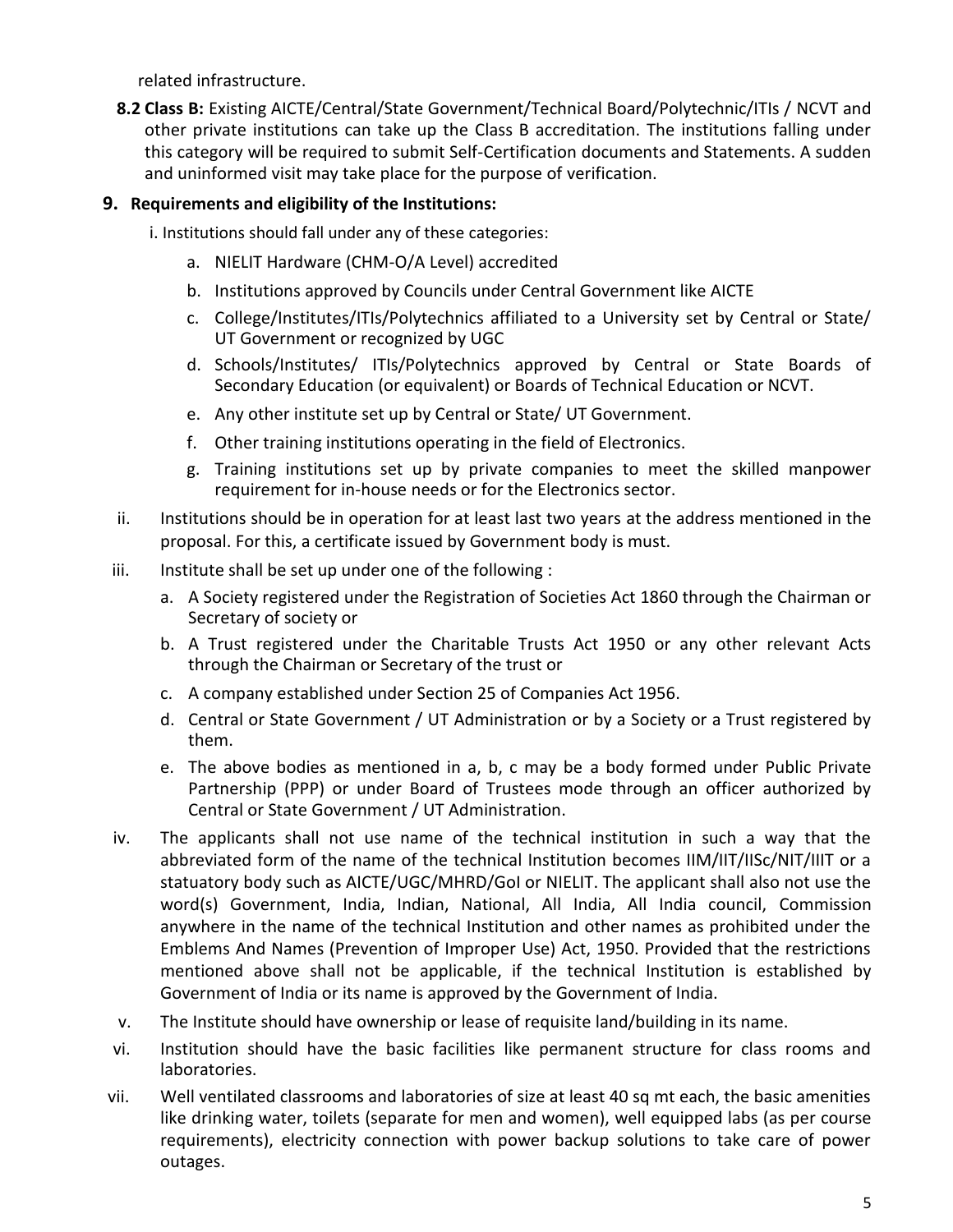related infrastructure.

**8.2 Class B:** Existing AICTE/Central/State Government/Technical Board/Polytechnic/ITIs / NCVT and other private institutions can take up the Class B accreditation. The institutions falling under this category will be required to submit Self-Certification documents and Statements. A sudden and uninformed visit may take place for the purpose of verification.

# **9. Requirements and eligibility of the Institutions:**

i. Institutions should fall under any of these categories:

- a. NIELIT Hardware (CHM-O/A Level) accredited
- b. Institutions approved by Councils under Central Government like AICTE
- c. College/Institutes/ITIs/Polytechnics affiliated to a University set by Central or State/ UT Government or recognized by UGC
- d. Schools/Institutes/ ITIs/Polytechnics approved by Central or State Boards of Secondary Education (or equivalent) or Boards of Technical Education or NCVT.
- e. Any other institute set up by Central or State/ UT Government.
- f. Other training institutions operating in the field of Electronics.
- g. Training institutions set up by private companies to meet the skilled manpower requirement for in-house needs or for the Electronics sector.
- ii. Institutions should be in operation for at least last two years at the address mentioned in the proposal. For this, a certificate issued by Government body is must.
- iii. Institute shall be set up under one of the following :
	- a. A Society registered under the Registration of Societies Act 1860 through the Chairman or Secretary of society or
	- b. A Trust registered under the Charitable Trusts Act 1950 or any other relevant Acts through the Chairman or Secretary of the trust or
	- c. A company established under Section 25 of Companies Act 1956.
	- d. Central or State Government / UT Administration or by a Society or a Trust registered by them.
	- e. The above bodies as mentioned in a, b, c may be a body formed under Public Private Partnership (PPP) or under Board of Trustees mode through an officer authorized by Central or State Government / UT Administration.
- iv. The applicants shall not use name of the technical institution in such a way that the abbreviated form of the name of the technical Institution becomes IIM/IIT/IISc/NIT/IIIT or a statuatory body such as AICTE/UGC/MHRD/GoI or NIELIT. The applicant shall also not use the word(s) Government, India, Indian, National, All India, All India council, Commission anywhere in the name of the technical Institution and other names as prohibited under the Emblems And Names (Prevention of Improper Use) Act, 1950. Provided that the restrictions mentioned above shall not be applicable, if the technical Institution is established by Government of India or its name is approved by the Government of India.
- v. The Institute should have ownership or lease of requisite land/building in its name.
- vi. Institution should have the basic facilities like permanent structure for class rooms and laboratories.
- vii. Well ventilated classrooms and laboratories of size at least 40 sq mt each, the basic amenities like drinking water, toilets (separate for men and women), well equipped labs (as per course requirements), electricity connection with power backup solutions to take care of power outages.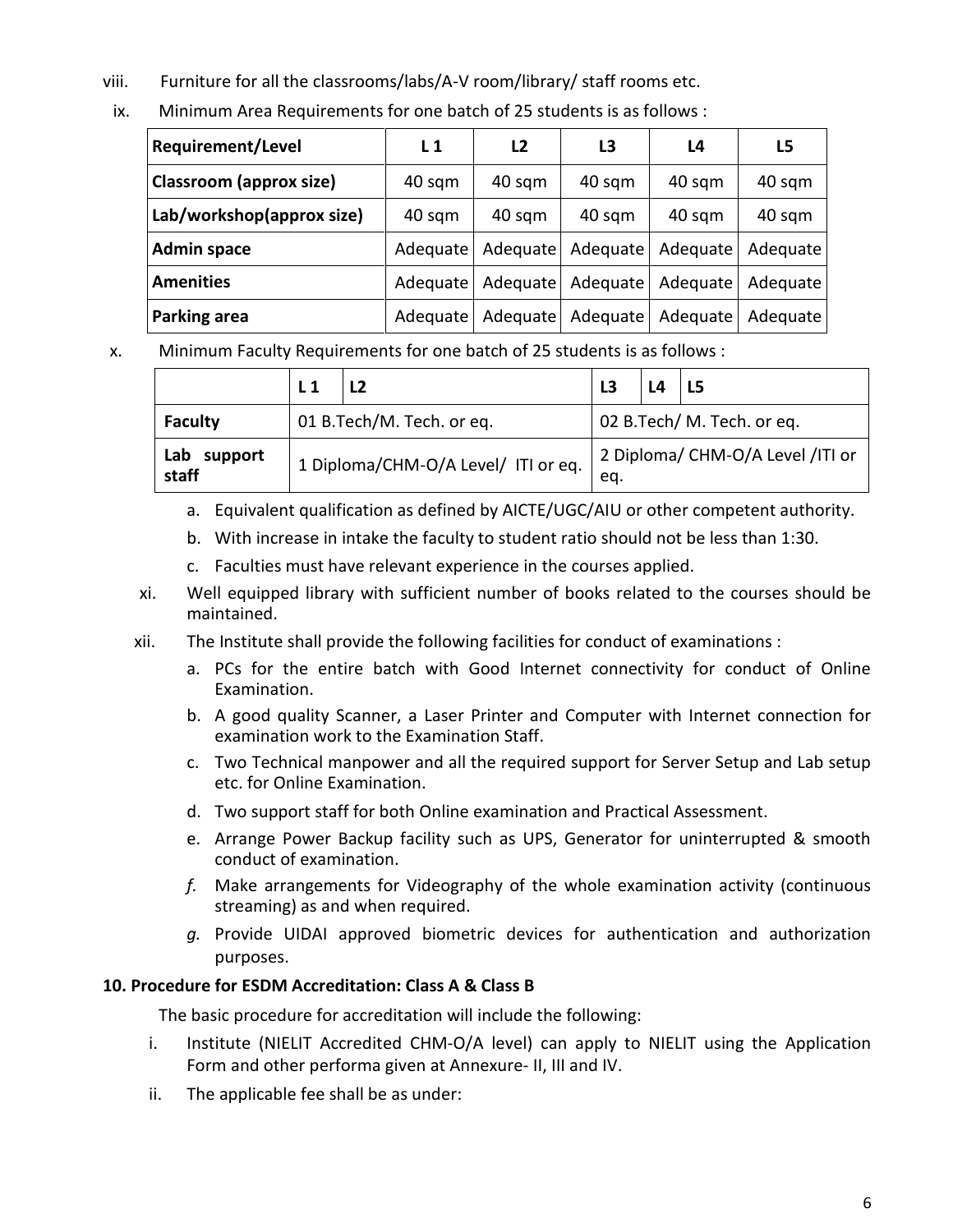- viii. Furniture for all the classrooms/labs/A-V room/library/ staff rooms etc.
- ix. Minimum Area Requirements for one batch of 25 students is as follows :

| <b>Requirement/Level</b>  | $L_1$    | L2       | L3       | L4       | L5       |
|---------------------------|----------|----------|----------|----------|----------|
| Classroom (approx size)   | 40 sqm   | 40 sqm   | 40 sqm   | 40 sqm   | 40 sqm   |
| Lab/workshop(approx size) | 40 sqm   | 40 sqm   | 40 sqm   | 40 sqm   | 40 sqm   |
| <b>Admin space</b>        | Adequate | Adequate | Adequate | Adequate | Adequate |
| <b>Amenities</b>          | Adequate | Adequate | Adequate | Adequate | Adequate |
| Parking area              | Adequate | Adequate | Adequate | Adequate | Adequate |

x. Minimum Faculty Requirements for one batch of 25 students is as follows :

|                      | L <sub>1</sub>            |                                     | L3 | L4 | <b>L5</b>                        |
|----------------------|---------------------------|-------------------------------------|----|----|----------------------------------|
| <b>Faculty</b>       | 01 B.Tech/M. Tech. or eq. |                                     |    |    | 02 B.Tech/ M. Tech. or eq.       |
| Lab support<br>staff |                           | 1 Diploma/CHM-O/A Level/ ITI or eq. |    |    | 2 Diploma/ CHM-O/A Level /ITI or |

- a. Equivalent qualification as defined by AICTE/UGC/AIU or other competent authority.
- b. With increase in intake the faculty to student ratio should not be less than 1:30.
- c. Faculties must have relevant experience in the courses applied.
- xi. Well equipped library with sufficient number of books related to the courses should be maintained.
- xii. The Institute shall provide the following facilities for conduct of examinations :
	- a. PCs for the entire batch with Good Internet connectivity for conduct of Online Examination.
	- b. A good quality Scanner, a Laser Printer and Computer with Internet connection for examination work to the Examination Staff.
	- c. Two Technical manpower and all the required support for Server Setup and Lab setup etc. for Online Examination.
	- d. Two support staff for both Online examination and Practical Assessment.
	- e. Arrange Power Backup facility such as UPS, Generator for uninterrupted & smooth conduct of examination.
	- *f.* Make arrangements for Videography of the whole examination activity (continuous streaming) as and when required.
	- *g.* Provide UIDAI approved biometric devices for authentication and authorization purposes.

# **10. Procedure for ESDM Accreditation: Class A & Class B**

The basic procedure for accreditation will include the following:

- i. Institute (NIELIT Accredited CHM-O/A level) can apply to NIELIT using the Application Form and other performa given at Annexure- II, III and IV.
- ii. The applicable fee shall be as under: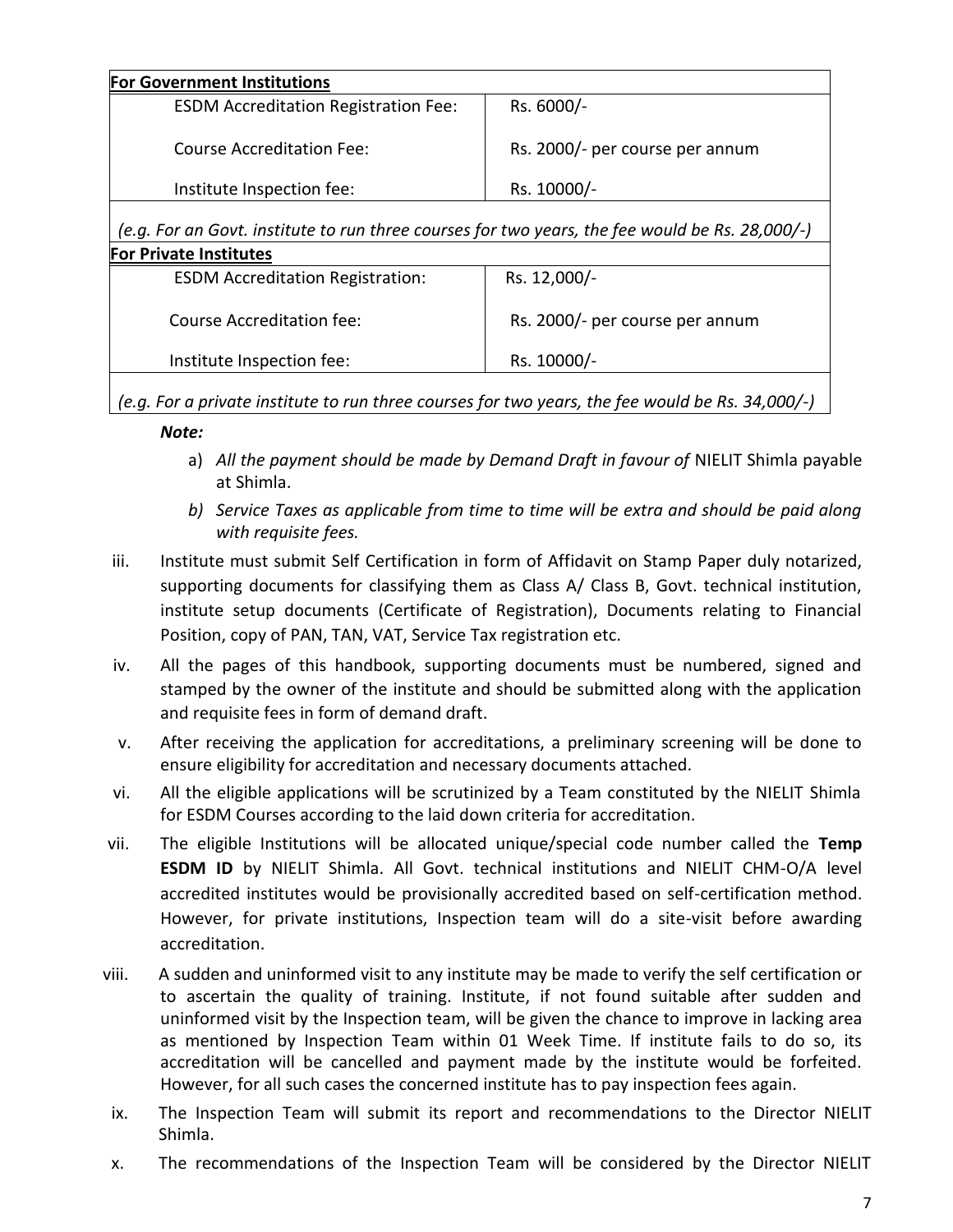| <b>For Government Institutions</b>                                                              |                                 |
|-------------------------------------------------------------------------------------------------|---------------------------------|
| <b>ESDM Accreditation Registration Fee:</b>                                                     | Rs. 6000/-                      |
| Course Accreditation Fee:                                                                       | Rs. 2000/- per course per annum |
| Institute Inspection fee:                                                                       | Rs. 10000/-                     |
|                                                                                                 |                                 |
| (e.g. For an Govt. institute to run three courses for two years, the fee would be Rs. 28,000/-) |                                 |
| <b>For Private Institutes</b>                                                                   |                                 |
| <b>ESDM Accreditation Registration:</b>                                                         | Rs. 12,000/-                    |
| Course Accreditation fee:                                                                       | Rs. 2000/- per course per annum |
| Institute Inspection fee:                                                                       | Rs. 10000/-                     |

*(e.g. For a private institute to run three courses for two years, the fee would be Rs. 34,000/-)*

## *Note:*

- a) *All the payment should be made by Demand Draft in favour of* NIELIT Shimla payable at Shimla.
- *b) Service Taxes as applicable from time to time will be extra and should be paid along with requisite fees.*
- iii. Institute must submit Self Certification in form of Affidavit on Stamp Paper duly notarized, supporting documents for classifying them as Class A/ Class B, Govt. technical institution, institute setup documents (Certificate of Registration), Documents relating to Financial Position, copy of PAN, TAN, VAT, Service Tax registration etc.
- iv. All the pages of this handbook, supporting documents must be numbered, signed and stamped by the owner of the institute and should be submitted along with the application and requisite fees in form of demand draft.
- v. After receiving the application for accreditations, a preliminary screening will be done to ensure eligibility for accreditation and necessary documents attached.
- vi. All the eligible applications will be scrutinized by a Team constituted by the NIELIT Shimla for ESDM Courses according to the laid down criteria for accreditation.
- vii. The eligible Institutions will be allocated unique/special code number called the **Temp ESDM ID** by NIELIT Shimla. All Govt. technical institutions and NIELIT CHM-O/A level accredited institutes would be provisionally accredited based on self-certification method. However, for private institutions, Inspection team will do a site-visit before awarding accreditation.
- viii. A sudden and uninformed visit to any institute may be made to verify the self certification or to ascertain the quality of training. Institute, if not found suitable after sudden and uninformed visit by the Inspection team, will be given the chance to improve in lacking area as mentioned by Inspection Team within 01 Week Time. If institute fails to do so, its accreditation will be cancelled and payment made by the institute would be forfeited. However, for all such cases the concerned institute has to pay inspection fees again.
- ix. The Inspection Team will submit its report and recommendations to the Director NIELIT Shimla.
- x. The recommendations of the Inspection Team will be considered by the Director NIELIT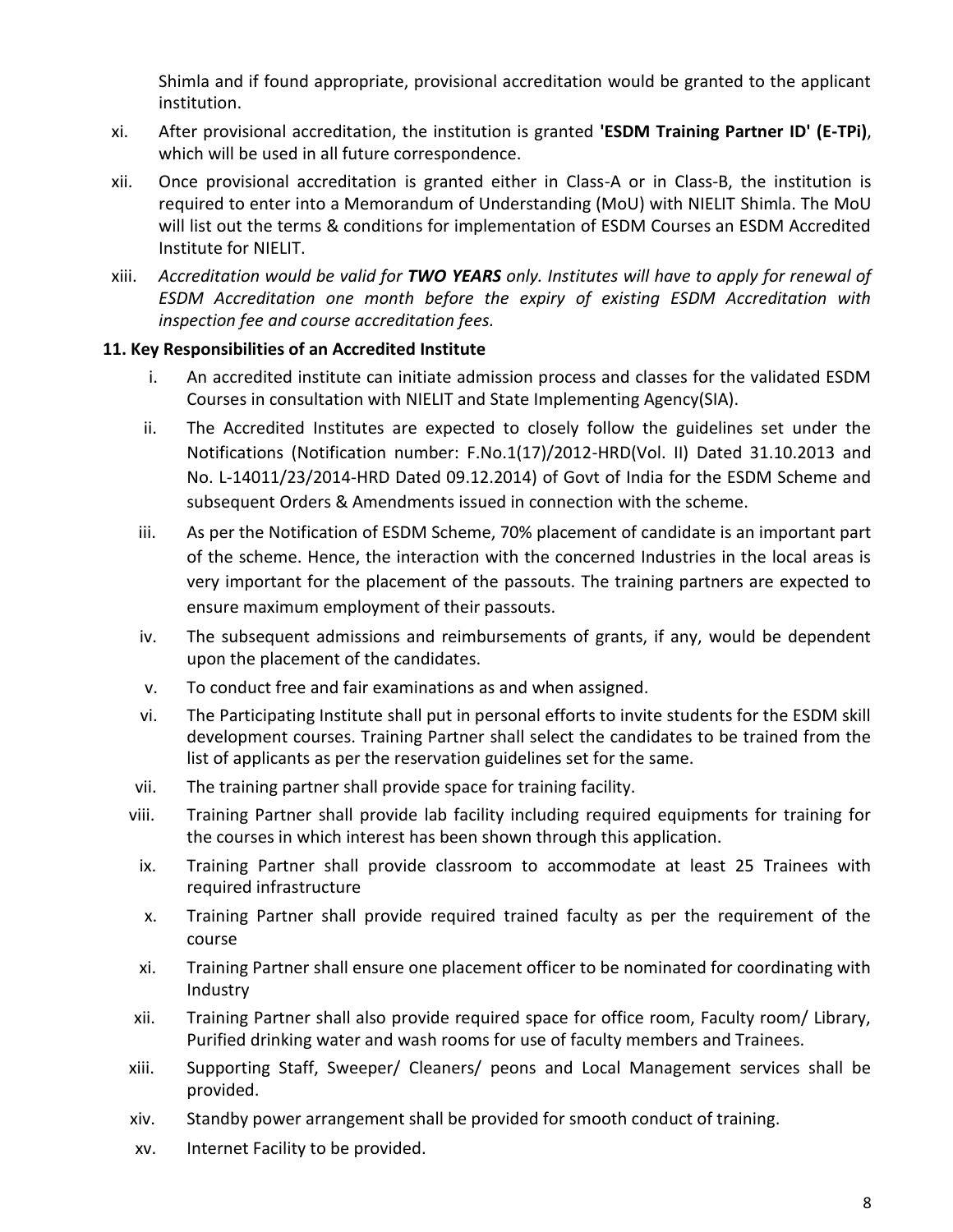Shimla and if found appropriate, provisional accreditation would be granted to the applicant institution.

- xi. After provisional accreditation, the institution is granted **'ESDM Training Partner ID' (E-TPi)**, which will be used in all future correspondence.
- xii. Once provisional accreditation is granted either in Class-A or in Class-B, the institution is required to enter into a Memorandum of Understanding (MoU) with NIELIT Shimla. The MoU will list out the terms & conditions for implementation of ESDM Courses an ESDM Accredited Institute for NIELIT.
- xiii. *Accreditation would be valid for TWO YEARS only. Institutes will have to apply for renewal of ESDM Accreditation one month before the expiry of existing ESDM Accreditation with inspection fee and course accreditation fees.*

## **11. Key Responsibilities of an Accredited Institute**

- i. An accredited institute can initiate admission process and classes for the validated ESDM Courses in consultation with NIELIT and State Implementing Agency(SIA).
- ii. The Accredited Institutes are expected to closely follow the guidelines set under the Notifications (Notification number: F.No.1(17)/2012-HRD(Vol. II) Dated 31.10.2013 and No. L-14011/23/2014-HRD Dated 09.12.2014) of Govt of India for the ESDM Scheme and subsequent Orders & Amendments issued in connection with the scheme.
- iii. As per the Notification of ESDM Scheme, 70% placement of candidate is an important part of the scheme. Hence, the interaction with the concerned Industries in the local areas is very important for the placement of the passouts. The training partners are expected to ensure maximum employment of their passouts.
- iv. The subsequent admissions and reimbursements of grants, if any, would be dependent upon the placement of the candidates.
- v. To conduct free and fair examinations as and when assigned.
- vi. The Participating Institute shall put in personal efforts to invite students for the ESDM skill development courses. Training Partner shall select the candidates to be trained from the list of applicants as per the reservation guidelines set for the same.
- vii. The training partner shall provide space for training facility.
- viii. Training Partner shall provide lab facility including required equipments for training for the courses in which interest has been shown through this application.
	- ix. Training Partner shall provide classroom to accommodate at least 25 Trainees with required infrastructure
	- x. Training Partner shall provide required trained faculty as per the requirement of the course
	- xi. Training Partner shall ensure one placement officer to be nominated for coordinating with Industry
- xii. Training Partner shall also provide required space for office room, Faculty room/ Library, Purified drinking water and wash rooms for use of faculty members and Trainees.
- xiii. Supporting Staff, Sweeper/ Cleaners/ peons and Local Management services shall be provided.
- xiv. Standby power arrangement shall be provided for smooth conduct of training.
- xv. Internet Facility to be provided.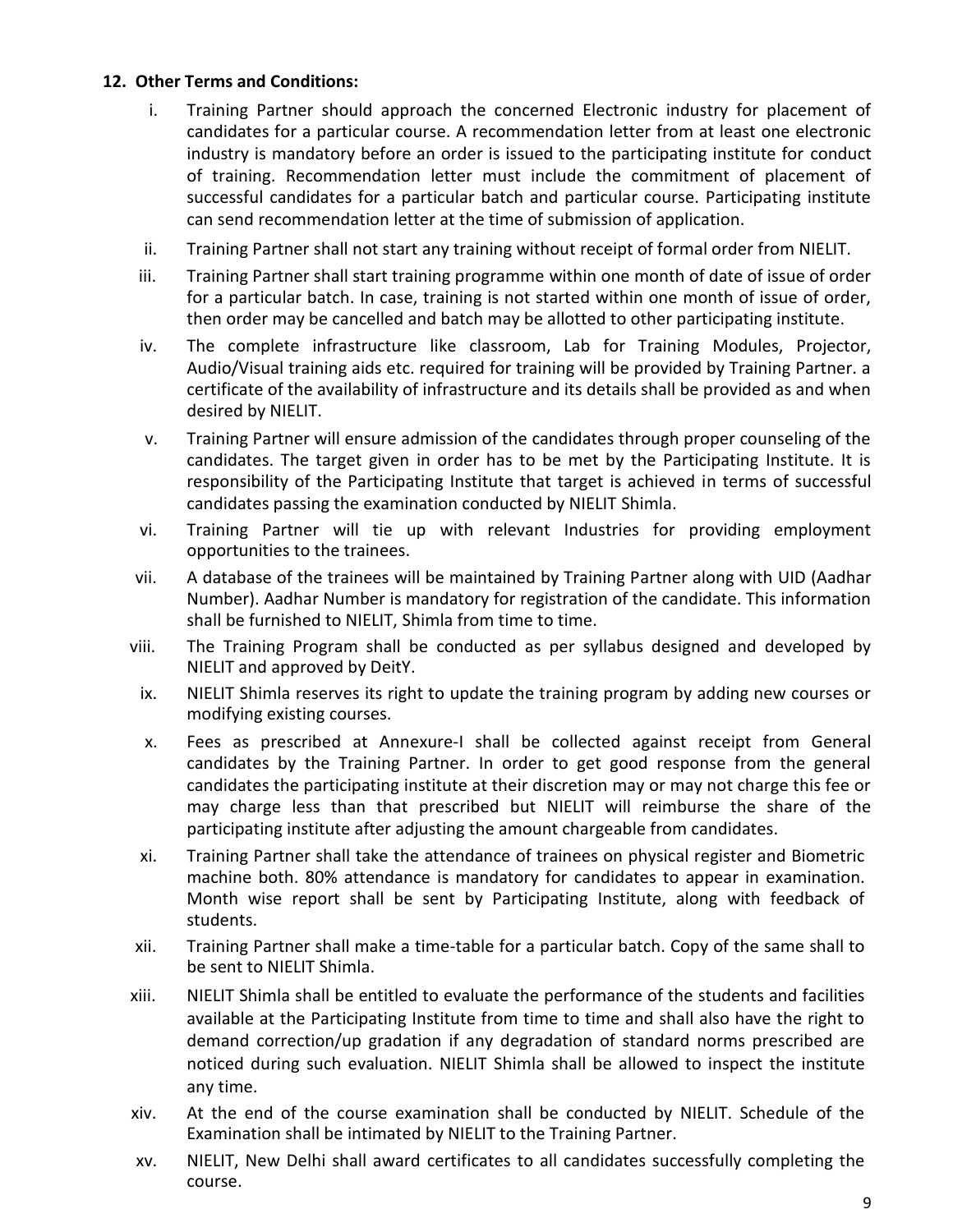#### **12. Other Terms and Conditions:**

- i. Training Partner should approach the concerned Electronic industry for placement of candidates for a particular course. A recommendation letter from at least one electronic industry is mandatory before an order is issued to the participating institute for conduct of training. Recommendation letter must include the commitment of placement of successful candidates for a particular batch and particular course. Participating institute can send recommendation letter at the time of submission of application.
- ii. Training Partner shall not start any training without receipt of formal order from NIELIT.
- iii. Training Partner shall start training programme within one month of date of issue of order for a particular batch. In case, training is not started within one month of issue of order, then order may be cancelled and batch may be allotted to other participating institute.
- iv. The complete infrastructure like classroom, Lab for Training Modules, Projector, Audio/Visual training aids etc. required for training will be provided by Training Partner. a certificate of the availability of infrastructure and its details shall be provided as and when desired by NIELIT.
- v. Training Partner will ensure admission of the candidates through proper counseling of the candidates. The target given in order has to be met by the Participating Institute. It is responsibility of the Participating Institute that target is achieved in terms of successful candidates passing the examination conducted by NIELIT Shimla.
- vi. Training Partner will tie up with relevant Industries for providing employment opportunities to the trainees.
- vii. A database of the trainees will be maintained by Training Partner along with UID (Aadhar Number). Aadhar Number is mandatory for registration of the candidate. This information shall be furnished to NIELIT, Shimla from time to time.
- viii. The Training Program shall be conducted as per syllabus designed and developed by NIELIT and approved by DeitY.
- ix. NIELIT Shimla reserves its right to update the training program by adding new courses or modifying existing courses.
- x. Fees as prescribed at Annexure-I shall be collected against receipt from General candidates by the Training Partner. In order to get good response from the general candidates the participating institute at their discretion may or may not charge this fee or may charge less than that prescribed but NIELIT will reimburse the share of the participating institute after adjusting the amount chargeable from candidates.
- xi. Training Partner shall take the attendance of trainees on physical register and Biometric machine both. 80% attendance is mandatory for candidates to appear in examination. Month wise report shall be sent by Participating Institute, along with feedback of students.
- xii. Training Partner shall make a time-table for a particular batch. Copy of the same shall to be sent to NIELIT Shimla.
- xiii. NIELIT Shimla shall be entitled to evaluate the performance of the students and facilities available at the Participating Institute from time to time and shall also have the right to demand correction/up gradation if any degradation of standard norms prescribed are noticed during such evaluation. NIELIT Shimla shall be allowed to inspect the institute any time.
- xiv. At the end of the course examination shall be conducted by NIELIT. Schedule of the Examination shall be intimated by NIELIT to the Training Partner.
- xv. NIELIT, New Delhi shall award certificates to all candidates successfully completing the course.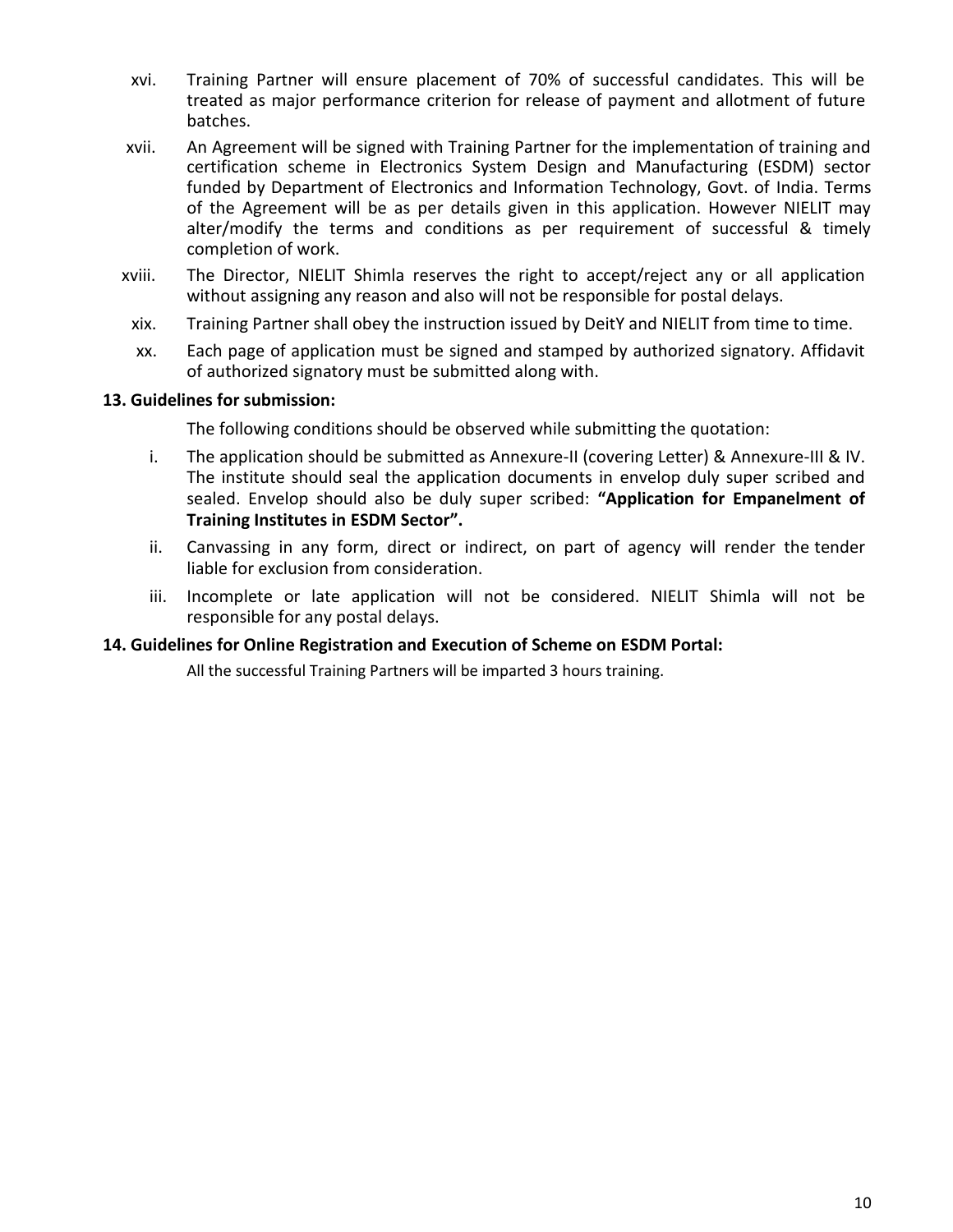- xvi. Training Partner will ensure placement of 70% of successful candidates. This will be treated as major performance criterion for release of payment and allotment of future batches.
- xvii. An Agreement will be signed with Training Partner for the implementation of training and certification scheme in Electronics System Design and Manufacturing (ESDM) sector funded by Department of Electronics and Information Technology, Govt. of India. Terms of the Agreement will be as per details given in this application. However NIELIT may alter/modify the terms and conditions as per requirement of successful & timely completion of work.
- xviii. The Director, NIELIT Shimla reserves the right to accept/reject any or all application without assigning any reason and also will not be responsible for postal delays.
- xix. Training Partner shall obey the instruction issued by DeitY and NIELIT from time to time.
- xx. Each page of application must be signed and stamped by authorized signatory. Affidavit of authorized signatory must be submitted along with.

#### **13. Guidelines for submission:**

The following conditions should be observed while submitting the quotation:

- i. The application should be submitted as Annexure-II (covering Letter) & Annexure-III & IV. The institute should seal the application documents in envelop duly super scribed and sealed. Envelop should also be duly super scribed: **"Application for Empanelment of Training Institutes in ESDM Sector".**
- ii. Canvassing in any form, direct or indirect, on part of agency will render the tender liable for exclusion from consideration.
- iii. Incomplete or late application will not be considered. NIELIT Shimla will not be responsible for any postal delays.

#### **14. Guidelines for Online Registration and Execution of Scheme on ESDM Portal:**

All the successful Training Partners will be imparted 3 hours training.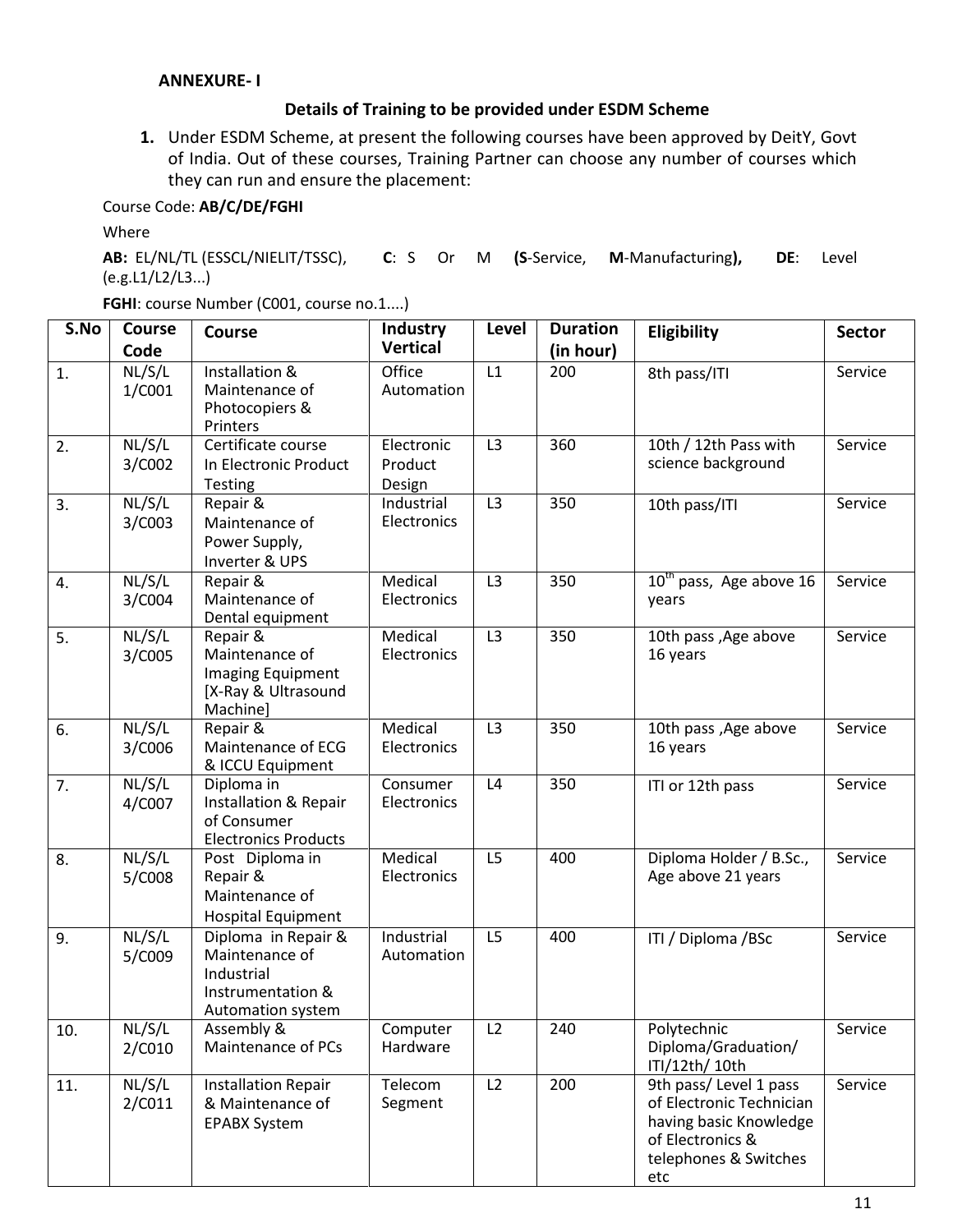#### **ANNEXURE- I**

#### **Details of Training to be provided under ESDM Scheme**

**1.** Under ESDM Scheme, at present the following courses have been approved by DeitY, Govt of India. Out of these courses, Training Partner can choose any number of courses which they can run and ensure the placement:

## Course Code: **AB/C/DE/FGHI**

Where

**AB:** EL/NL/TL (ESSCL/NIELIT/TSSC), **C**: S Or M **(S**-Service, **M**-Manufacturing**), DE**: Level (e.g.L1/L2/L3...)

**FGHI**: course Number (C001, course no.1....)

| S.No | <b>Course</b>    | <b>Course</b>                                                                                 | <b>Industry</b>                 | <b>Level</b>   | <b>Duration</b> | Eligibility                                                                                                                      | <b>Sector</b> |
|------|------------------|-----------------------------------------------------------------------------------------------|---------------------------------|----------------|-----------------|----------------------------------------------------------------------------------------------------------------------------------|---------------|
|      | Code             |                                                                                               | <b>Vertical</b>                 |                | (in hour)       |                                                                                                                                  |               |
| 1.   | NL/S/L<br>1/C001 | Installation &<br>Maintenance of<br>Photocopiers &<br>Printers                                | Office<br>Automation            | L1             | 200             | 8th pass/ITI                                                                                                                     | Service       |
| 2.   | NL/S/L<br>3/C002 | Certificate course<br>In Electronic Product<br><b>Testing</b>                                 | Electronic<br>Product<br>Design | L <sub>3</sub> | 360             | 10th / 12th Pass with<br>science background                                                                                      | Service       |
| 3.   | NL/S/L<br>3/C003 | Repair &<br>Maintenance of<br>Power Supply,<br>Inverter & UPS                                 | Industrial<br>Electronics       | L3             | 350             | 10th pass/ITI                                                                                                                    | Service       |
| 4.   | NL/S/L<br>3/C004 | Repair &<br>Maintenance of<br>Dental equipment                                                | Medical<br>Electronics          | L <sub>3</sub> | 350             | $10th$ pass, Age above 16<br>years                                                                                               | Service       |
| 5.   | NL/S/L<br>3/C005 | Repair &<br>Maintenance of<br>Imaging Equipment<br>[X-Ray & Ultrasound<br>Machine]            | Medical<br>Electronics          | L <sub>3</sub> | 350             | 10th pass , Age above<br>16 years                                                                                                | Service       |
| 6.   | NL/S/L<br>3/C006 | Repair &<br>Maintenance of ECG<br>& ICCU Equipment                                            | Medical<br>Electronics          | L <sub>3</sub> | 350             | 10th pass , Age above<br>16 years                                                                                                | Service       |
| 7.   | NL/S/L<br>4/C007 | Diploma in<br>Installation & Repair<br>of Consumer<br><b>Electronics Products</b>             | Consumer<br>Electronics         | L4             | 350             | ITI or 12th pass                                                                                                                 | Service       |
| 8.   | NL/S/L<br>5/C008 | Post Diploma in<br>Repair &<br>Maintenance of<br><b>Hospital Equipment</b>                    | Medical<br>Electronics          | L <sub>5</sub> | 400             | Diploma Holder / B.Sc.,<br>Age above 21 years                                                                                    | Service       |
| 9.   | NL/S/L<br>5/C009 | Diploma in Repair &<br>Maintenance of<br>Industrial<br>Instrumentation &<br>Automation system | Industrial<br>Automation        | L <sub>5</sub> | 400             | ITI / Diploma /BSc                                                                                                               | Service       |
| 10.  | NL/S/L<br>2/C010 | Assembly &<br>Maintenance of PCs                                                              | Computer<br>Hardware            | L2             | 240             | Polytechnic<br>Diploma/Graduation/<br>ITI/12th/ 10th                                                                             | Service       |
| 11.  | NL/S/L<br>2/C011 | <b>Installation Repair</b><br>& Maintenance of<br><b>EPABX System</b>                         | Telecom<br>Segment              | L2             | 200             | 9th pass/ Level 1 pass<br>of Electronic Technician<br>having basic Knowledge<br>of Electronics &<br>telephones & Switches<br>etc | Service       |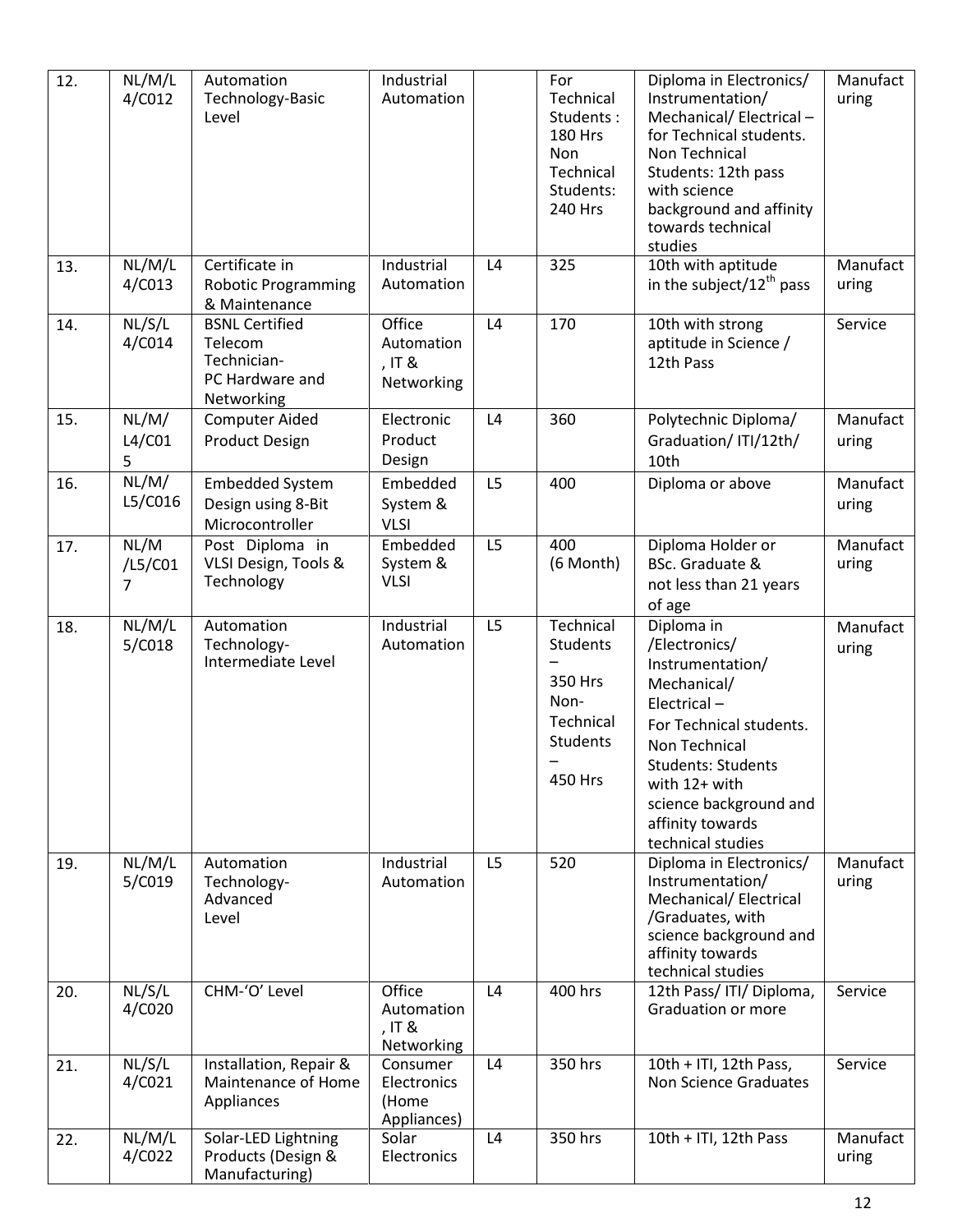| 12. | NL/M/L<br>4/C012              | Automation<br>Technology-Basic<br>Level                                          | Industrial<br>Automation                        |                | For<br>Technical<br>Students:<br><b>180 Hrs</b><br>Non<br>Technical<br>Students:<br>240 Hrs | Diploma in Electronics/<br>Instrumentation/<br>Mechanical/ Electrical -<br>for Technical students.<br>Non Technical<br>Students: 12th pass<br>with science<br>background and affinity<br>towards technical<br>studies                      | Manufact<br>uring |
|-----|-------------------------------|----------------------------------------------------------------------------------|-------------------------------------------------|----------------|---------------------------------------------------------------------------------------------|--------------------------------------------------------------------------------------------------------------------------------------------------------------------------------------------------------------------------------------------|-------------------|
| 13. | $\overline{NL}/M/L$<br>4/C013 | Certificate in<br><b>Robotic Programming</b><br>& Maintenance                    | Industrial<br>Automation                        | L4             | 325                                                                                         | 10th with aptitude<br>in the subject/ $12^{th}$ pass                                                                                                                                                                                       | Manufact<br>uring |
| 14. | NL/S/L<br>4/C014              | <b>BSNL Certified</b><br>Telecom<br>Technician-<br>PC Hardware and<br>Networking | Office<br>Automation<br>, IT &<br>Networking    | L4             | 170                                                                                         | 10th with strong<br>aptitude in Science /<br>12th Pass                                                                                                                                                                                     | Service           |
| 15. | NL/M/<br>L4/C01<br>5.         | <b>Computer Aided</b><br><b>Product Design</b>                                   | Electronic<br>Product<br>Design                 | L4             | 360                                                                                         | Polytechnic Diploma/<br>Graduation/ ITI/12th/<br>10th                                                                                                                                                                                      | Manufact<br>uring |
| 16. | NL/M/<br>L5/C016              | <b>Embedded System</b><br>Design using 8-Bit<br>Microcontroller                  | Embedded<br>System &<br><b>VLSI</b>             | L5             | 400                                                                                         | Diploma or above                                                                                                                                                                                                                           | Manufact<br>uring |
| 17. | NL/M<br>/L5/C01<br>7          | Post Diploma in<br>VLSI Design, Tools &<br>Technology                            | Embedded<br>System &<br><b>VLSI</b>             | L <sub>5</sub> | 400<br>(6 Month)                                                                            | Diploma Holder or<br>BSc. Graduate &<br>not less than 21 years<br>of age                                                                                                                                                                   | Manufact<br>uring |
| 18. | NL/M/L<br>5/C018              | Automation<br>Technology-<br>Intermediate Level                                  | Industrial<br>Automation                        | L5             | Technical<br>Students<br>350 Hrs<br>Non-<br>Technical<br><b>Students</b><br><b>450 Hrs</b>  | Diploma in<br>/Electronics/<br>Instrumentation/<br>Mechanical/<br>Electrical-<br>For Technical students.<br>Non Technical<br><b>Students: Students</b><br>with 12+ with<br>science background and<br>affinity towards<br>technical studies | Manufact<br>uring |
| 19. | NL/M/L<br>5/C019              | Automation<br>Technology-<br>Advanced<br>Level                                   | Industrial<br>Automation                        | L5             | 520                                                                                         | Diploma in Electronics/<br>Instrumentation/<br>Mechanical/ Electrical<br>/Graduates, with<br>science background and<br>affinity towards<br>technical studies                                                                               | Manufact<br>uring |
| 20. | NL/S/L<br>4/C020              | CHM-'O' Level                                                                    | Office<br>Automation<br>, IT &<br>Networking    | L4             | 400 hrs                                                                                     | 12th Pass/ ITI/ Diploma,<br>Graduation or more                                                                                                                                                                                             | Service           |
| 21. | NL/S/L<br>4/C021              | Installation, Repair &<br>Maintenance of Home<br>Appliances                      | Consumer<br>Electronics<br>(Home<br>Appliances) | L4             | 350 hrs                                                                                     | 10th + ITI, 12th Pass,<br>Non Science Graduates                                                                                                                                                                                            | Service           |
| 22. | NL/M/L<br>4/C022              | Solar-LED Lightning<br>Products (Design &<br>Manufacturing)                      | Solar<br>Electronics                            | L4             | 350 hrs                                                                                     | 10th + ITI, 12th Pass                                                                                                                                                                                                                      | Manufact<br>uring |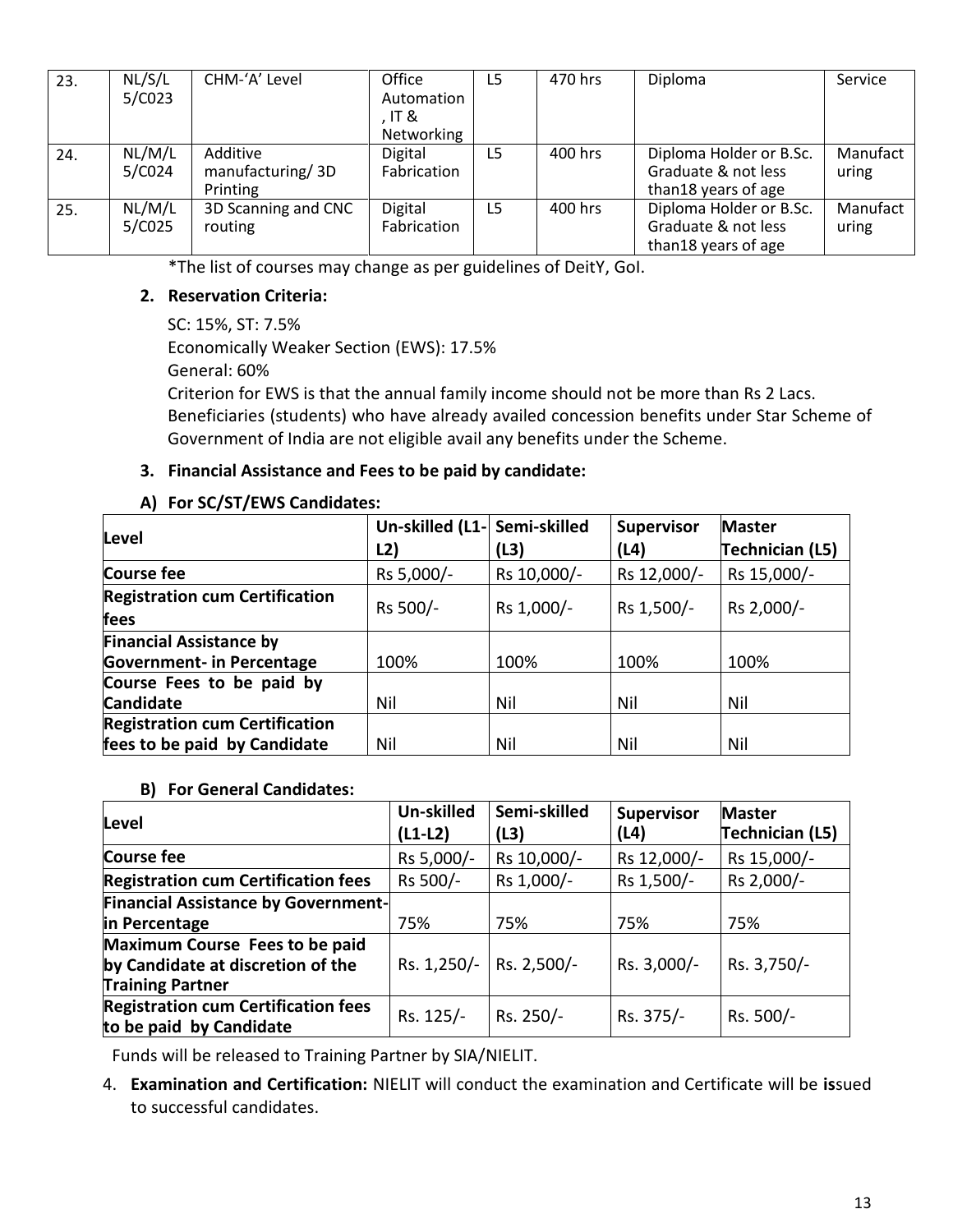| 23. | NL/S/L<br>5/C023 | CHM-'A' Level                            | Office<br>Automation<br>. IT &<br>Networking | L5 | 470 hrs | Diploma                                                               | Service           |
|-----|------------------|------------------------------------------|----------------------------------------------|----|---------|-----------------------------------------------------------------------|-------------------|
| 24. | NL/M/L<br>5/C024 | Additive<br>manufacturing/3D<br>Printing | <b>Digital</b><br>Fabrication                | L5 | 400 hrs | Diploma Holder or B.Sc.<br>Graduate & not less<br>than18 years of age | Manufact<br>uring |
| 25. | NL/M/L<br>5/C025 | 3D Scanning and CNC<br>routing           | Digital<br>Fabrication                       | L5 | 400 hrs | Diploma Holder or B.Sc.<br>Graduate & not less<br>than18 years of age | Manufact<br>uring |

\*The list of courses may change as per guidelines of DeitY, GoI.

## **2. Reservation Criteria:**

SC: 15%, ST: 7.5% Economically Weaker Section (EWS): 17.5% General: 60% Criterion for EWS is that the annual family income should not be more than Rs 2 Lacs. Beneficiaries (students) who have already availed concession benefits under Star Scheme of Government of India are not eligible avail any benefits under the Scheme.

#### **3. Financial Assistance and Fees to be paid by candidate:**

#### **A) For SC/ST/EWS Candidates:**

|                                       | Un-skilled (L1- Semi-skilled |             | <b>Supervisor</b> | <b>Master</b>   |
|---------------------------------------|------------------------------|-------------|-------------------|-----------------|
| Level                                 | L2)                          | (L3)        | (L4)              | Technician (L5) |
| Course fee                            | Rs 5,000/-                   | Rs 10,000/- | Rs 12,000/-       | Rs 15,000/-     |
| <b>Registration cum Certification</b> | Rs 500/-                     | Rs 1,000/-  | Rs 1,500/-        | Rs 2,000/-      |
| fees                                  |                              |             |                   |                 |
| <b>Financial Assistance by</b>        |                              |             |                   |                 |
| <b>Government- in Percentage</b>      | 100%                         | 100%        | 100%              | 100%            |
| Course Fees to be paid by             |                              |             |                   |                 |
| <b>Candidate</b>                      | Nil                          | Nil         | Nil               | Nil             |
| <b>Registration cum Certification</b> |                              |             |                   |                 |
| fees to be paid by Candidate          | Nil                          | Nil         | Nil               | Nil             |

#### **B) For General Candidates:**

| Level                                                                                          | Un-skilled<br>$(L1-L2)$ | Semi-skilled<br>(L3) | <b>Supervisor</b><br>(L4) | <b>Master</b><br>Technician (L5) |
|------------------------------------------------------------------------------------------------|-------------------------|----------------------|---------------------------|----------------------------------|
| Course fee                                                                                     | Rs 5,000/-              | Rs 10,000/-          | Rs 12,000/-               | Rs 15,000/-                      |
| <b>Registration cum Certification fees</b>                                                     | Rs 500/-                | Rs 1,000/-           | Rs 1,500/-                | Rs 2,000/-                       |
| <b>Financial Assistance by Government-</b>                                                     |                         |                      |                           |                                  |
| in Percentage                                                                                  | 75%                     | 75%                  | 75%                       | 75%                              |
| Maximum Course Fees to be paid<br>by Candidate at discretion of the<br><b>Training Partner</b> | Rs. 1,250/-             | Rs. 2,500/-          | Rs. 3,000/-               | Rs. 3,750/-                      |
| <b>Registration cum Certification fees</b><br>to be paid by Candidate                          | Rs. 125/-               | Rs. 250/-            | Rs. 375/-                 | Rs. 500/-                        |

Funds will be released to Training Partner by SIA/NIELIT.

4. **Examination and Certification:** NIELIT will conduct the examination and Certificate will be **is**sued to successful candidates.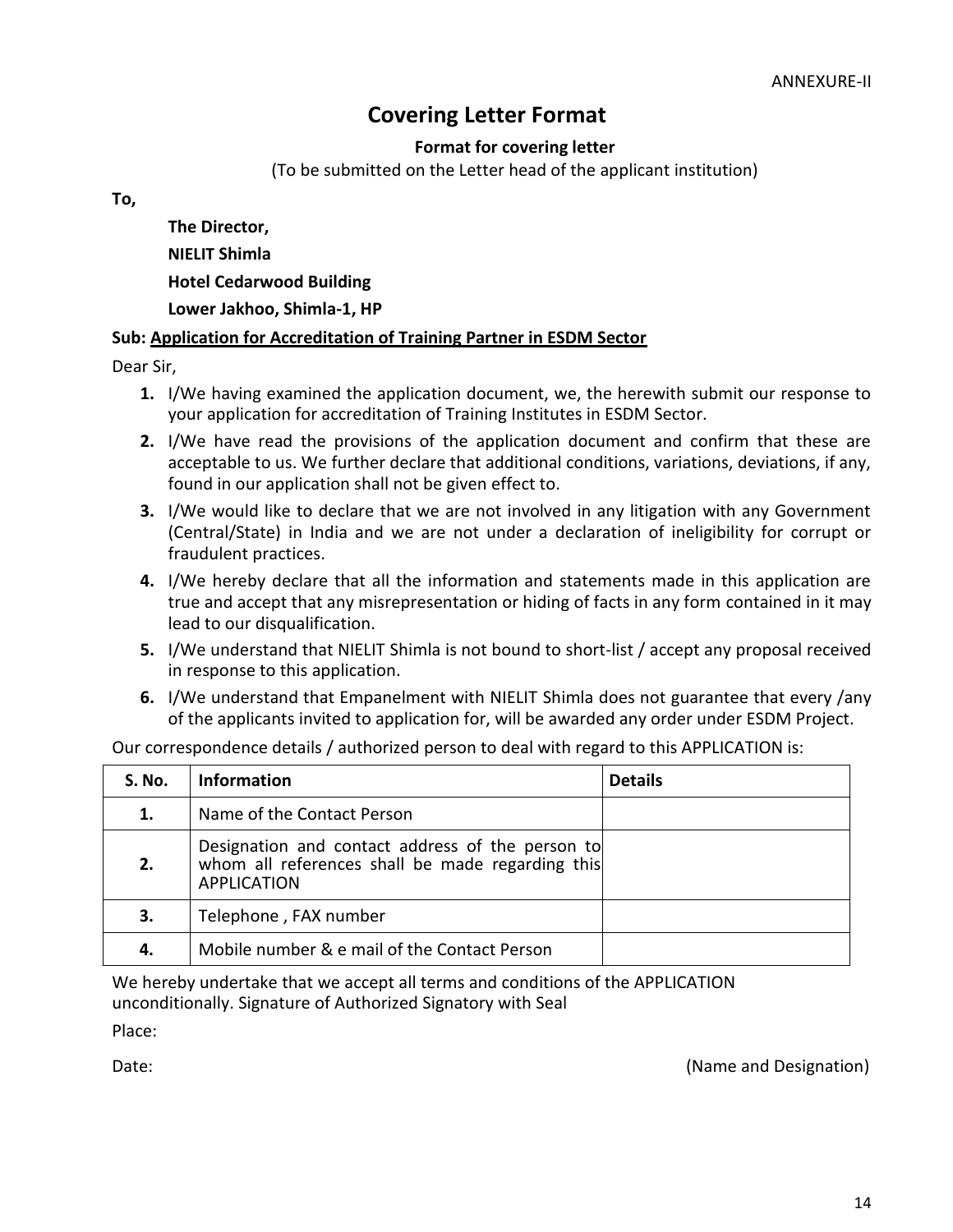# **Covering Letter Format**

**Format for covering letter**

(To be submitted on the Letter head of the applicant institution)

**To,**

**The Director, NIELIT Shimla Hotel Cedarwood Building Lower Jakhoo, Shimla-1, HP**

#### **Sub: Application for Accreditation of Training Partner in ESDM Sector**

Dear Sir,

- **1.** I/We having examined the application document, we, the herewith submit our response to your application for accreditation of Training Institutes in ESDM Sector.
- **2.** I/We have read the provisions of the application document and confirm that these are acceptable to us. We further declare that additional conditions, variations, deviations, if any, found in our application shall not be given effect to.
- **3.** I/We would like to declare that we are not involved in any litigation with any Government (Central/State) in India and we are not under a declaration of ineligibility for corrupt or fraudulent practices.
- **4.** I/We hereby declare that all the information and statements made in this application are true and accept that any misrepresentation or hiding of facts in any form contained in it may lead to our disqualification.
- **5.** I/We understand that NIELIT Shimla is not bound to short-list / accept any proposal received in response to this application.
- **6.** I/We understand that Empanelment with NIELIT Shimla does not guarantee that every /any of the applicants invited to application for, will be awarded any order under ESDM Project.

| Our correspondence details / authorized person to deal with regard to this APPLICATION is: |  |  |  |
|--------------------------------------------------------------------------------------------|--|--|--|
|--------------------------------------------------------------------------------------------|--|--|--|

| <b>S. No.</b> | <b>Information</b>                                                                                                         | <b>Details</b> |
|---------------|----------------------------------------------------------------------------------------------------------------------------|----------------|
| 1.            | Name of the Contact Person                                                                                                 |                |
| 2.            | Designation and contact address of the person to<br>whom all references shall be made regarding this<br><b>APPLICATION</b> |                |
| З.            | Telephone, FAX number                                                                                                      |                |
| 4.            | Mobile number & e mail of the Contact Person                                                                               |                |

We hereby undertake that we accept all terms and conditions of the APPLICATION unconditionally. Signature of Authorized Signatory with Seal

Place:

Date: (Name and Designation) **Date:** (Name and Designation)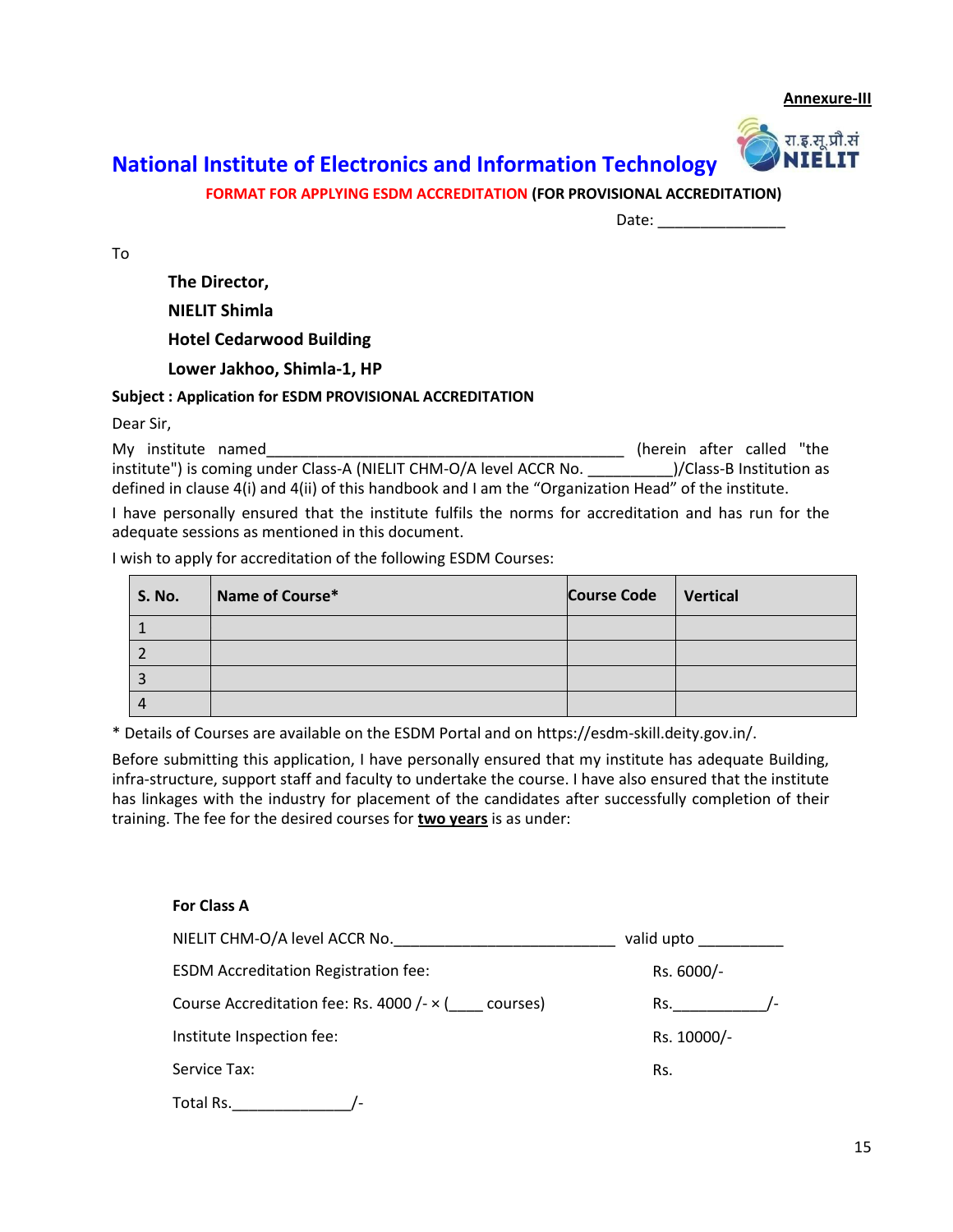**Annexure-III**



# **National Institute of Electronics and Information Technology**

**FORMAT FOR APPLYING ESDM ACCREDITATION (FOR PROVISIONAL ACCREDITATION)**

Date:

To

**The Director,**

**NIELIT Shimla**

**Hotel Cedarwood Building**

**Lower Jakhoo, Shimla-1, HP**

#### **Subject : Application for ESDM PROVISIONAL ACCREDITATION**

Dear Sir,

My institute named **My institute** named **My institute** named **My institute** named **My** institute  $\mathbf{M}$ institute") is coming under Class-A (NIELIT CHM-O/A level ACCR No. \_\_\_\_\_\_\_\_\_\_\_\_\_\_)/Class-B Institution as defined in clause 4(i) and 4(ii) of this handbook and I am the "Organization Head" of the institute.

I have personally ensured that the institute fulfils the norms for accreditation and has run for the adequate sessions as mentioned in this document.

I wish to apply for accreditation of the following ESDM Courses:

| <b>S. No.</b> | Name of Course* | Course Code   Vertical |  |
|---------------|-----------------|------------------------|--|
|               |                 |                        |  |
|               |                 |                        |  |
|               |                 |                        |  |
|               |                 |                        |  |

\* Details of Courses are available on the ESDM Portal and on https://esdm-skill.deity.gov.in/.

Before submitting this application, I have personally ensured that my institute has adequate Building, infra-structure, support staff and faculty to undertake the course. I have also ensured that the institute has linkages with the industry for placement of the candidates after successfully completion of their training. The fee for the desired courses for **two years** is as under:

**For Class A**

| NIELIT CHM-O/A level ACCR No.                            | valid upto  |
|----------------------------------------------------------|-------------|
| <b>ESDM Accreditation Registration fee:</b>              | Rs. 6000/-  |
| Course Accreditation fee: Rs. 4000 /- $\times$ (courses) | Rs.         |
| Institute Inspection fee:                                | Rs. 10000/- |
| Service Tax:                                             | Rs.         |
| Total Rs.                                                |             |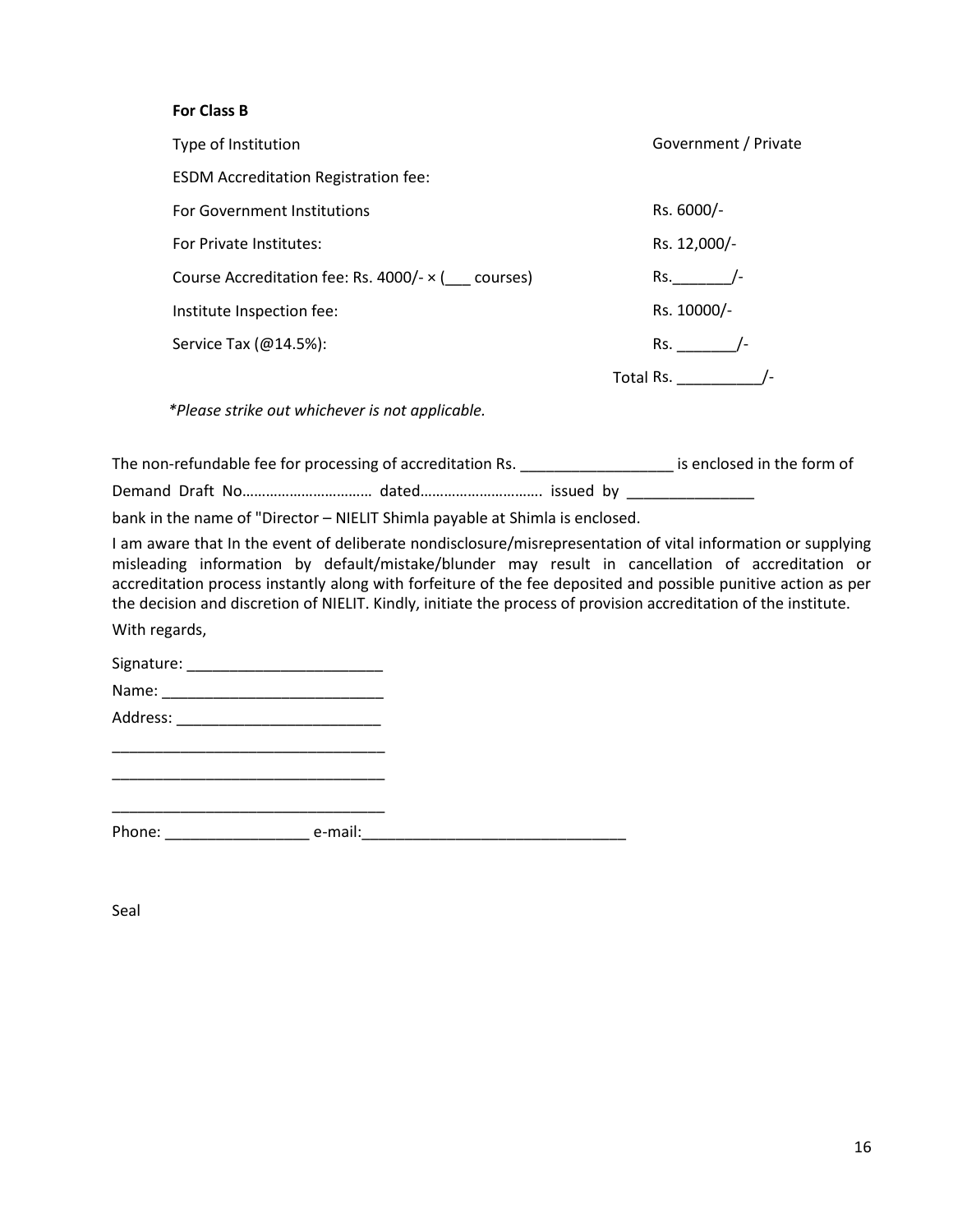#### **For Class B**

| Type of Institution                               | Government / Private             |
|---------------------------------------------------|----------------------------------|
| <b>ESDM Accreditation Registration fee:</b>       |                                  |
| For Government Institutions                       | Rs. 6000/-                       |
| For Private Institutes:                           | Rs. 12,000/-                     |
| Course Accreditation fee: Rs. 4000/- x ( courses) | Rs.                              |
| Institute Inspection fee:                         | Rs. 10000/-                      |
| Service Tax (@14.5%):                             | Rs.                              |
|                                                   | Total Rs. The Manuscript Control |

*\*Please strike out whichever is not applicable.*

The non-refundable fee for processing of accreditation Rs. \_\_\_\_\_\_\_\_\_\_\_\_\_\_\_\_\_\_\_\_\_\_ is enclosed in the form of

Demand Draft No................................... dated.................................. issued by \_\_\_\_\_\_\_\_\_\_\_\_\_\_\_

bank in the name of "Director – NIELIT Shimla payable at Shimla is enclosed.

I am aware that In the event of deliberate nondisclosure/misrepresentation of vital information or supplying misleading information by default/mistake/blunder may result in cancellation of accreditation or accreditation process instantly along with forfeiture of the fee deposited and possible punitive action as per the decision and discretion of NIELIT. Kindly, initiate the process of provision accreditation of the institute.

With regards,

Signature: \_\_\_\_\_\_\_\_\_\_\_\_\_\_\_\_\_\_\_\_\_\_\_

Name: \_\_\_\_\_\_\_\_\_\_\_\_\_\_\_\_\_\_\_\_\_\_\_\_\_\_ Address: \_\_\_\_\_\_\_\_\_\_\_\_\_\_\_\_\_\_\_\_\_\_\_\_

\_\_\_\_\_\_\_\_\_\_\_\_\_\_\_\_\_\_\_\_\_\_\_\_\_\_\_\_\_\_\_\_ \_\_\_\_\_\_\_\_\_\_\_\_\_\_\_\_\_\_\_\_\_\_\_\_\_\_\_\_\_\_\_\_

\_\_\_\_\_\_\_\_\_\_\_\_\_\_\_\_\_\_\_\_\_\_\_\_\_\_\_\_\_\_\_\_ Phone: \_\_\_\_\_\_\_\_\_\_\_\_\_\_\_\_\_ e-mail:\_\_\_\_\_\_\_\_\_\_\_\_\_\_\_\_\_\_\_\_\_\_\_\_\_\_\_\_\_\_\_

Seal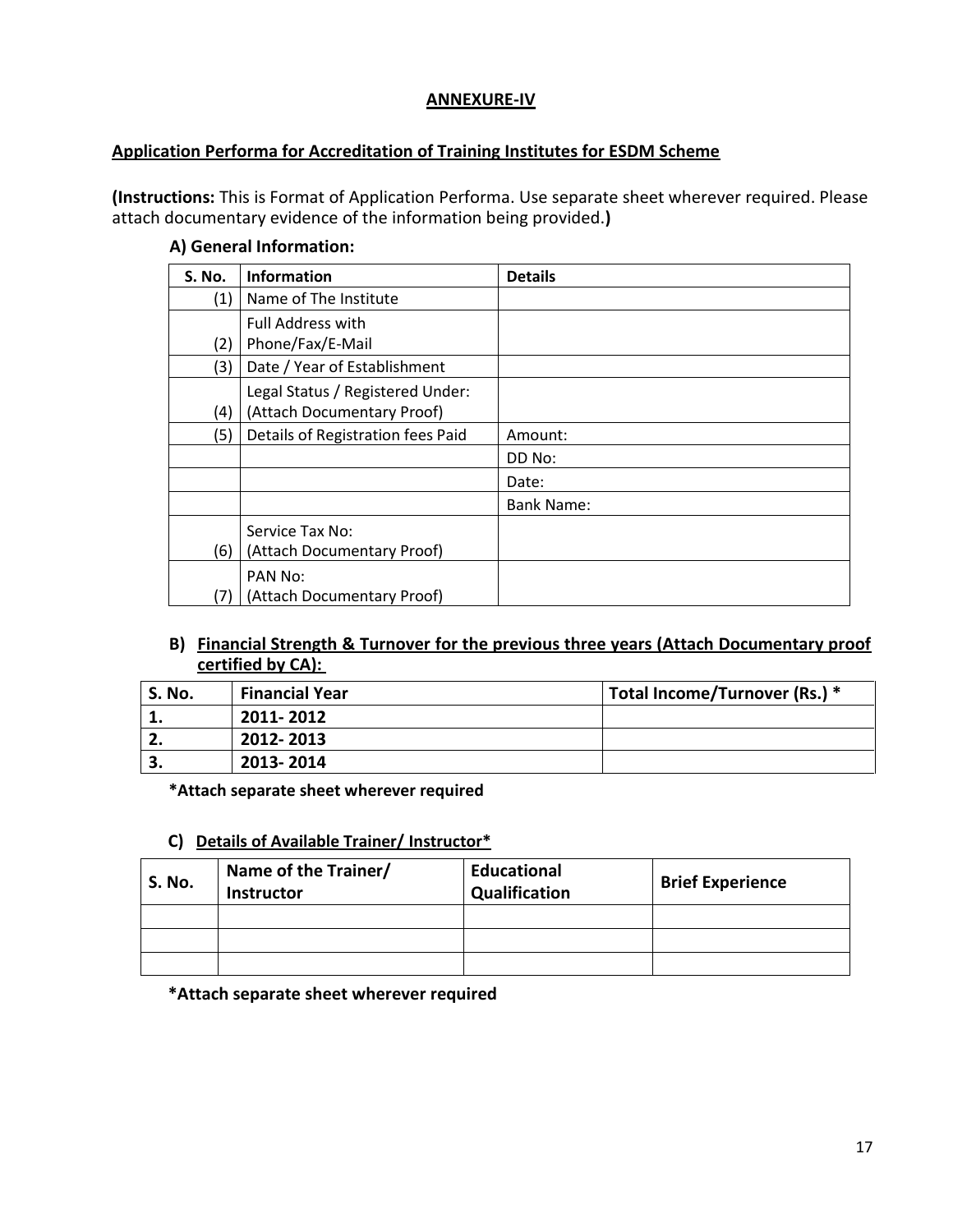#### **ANNEXURE-IV**

#### **Application Performa for Accreditation of Training Institutes for ESDM Scheme**

**(Instructions:** This is Format of Application Performa. Use separate sheet wherever required. Please attach documentary evidence of the information being provided.**)**

#### **A) General Information:**

| <b>S. No.</b> | <b>Information</b>                | <b>Details</b>    |
|---------------|-----------------------------------|-------------------|
| (1)           | Name of The Institute             |                   |
|               | <b>Full Address with</b>          |                   |
| (2)           | Phone/Fax/E-Mail                  |                   |
| (3)           | Date / Year of Establishment      |                   |
|               | Legal Status / Registered Under:  |                   |
| (4)           | (Attach Documentary Proof)        |                   |
| (5)           | Details of Registration fees Paid | Amount:           |
|               |                                   | DD No:            |
|               |                                   | Date:             |
|               |                                   | <b>Bank Name:</b> |
|               | Service Tax No:                   |                   |
| (6)           | (Attach Documentary Proof)        |                   |
|               | PAN No:                           |                   |
| (7)           | (Attach Documentary Proof)        |                   |

#### **B) Financial Strength & Turnover for the previous three years (Attach Documentary proof certified by CA):**

| S. No.   | <b>Financial Year</b> | Total Income/Turnover (Rs.) * |
|----------|-----------------------|-------------------------------|
|          | 2011-2012             |                               |
| <u>.</u> | 2012-2013             |                               |
| З.       | 2013-2014             |                               |

#### **\*Attach separate sheet wherever required**

#### **C) Details of Available Trainer/ Instructor\***

| <b>S. No.</b> | Name of the Trainer/<br><b>Instructor</b> | <b>Educational</b><br>Qualification | <b>Brief Experience</b> |
|---------------|-------------------------------------------|-------------------------------------|-------------------------|
|               |                                           |                                     |                         |
|               |                                           |                                     |                         |
|               |                                           |                                     |                         |

**\*Attach separate sheet wherever required**